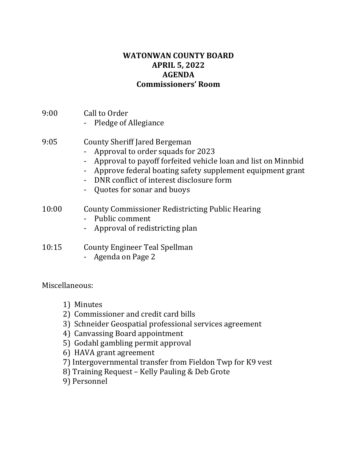## **WATONWAN COUNTY BOARD APRIL 5, 2022 AGENDA Commissioners' Room**

- 9:00 Call to Order
	- Pledge of Allegiance

# 9:05 County Sheriff Jared Bergeman

- Approval to order squads for 2023
- Approval to payoff forfeited vehicle loan and list on Minnbid
- Approve federal boating safety supplement equipment grant
- DNR conflict of interest disclosure form
- Quotes for sonar and buoys

## 10:00 County Commissioner Redistricting Public Hearing

- Public comment
- Approval of redistricting plan
- 10:15 County Engineer Teal Spellman
	- Agenda on Page 2

Miscellaneous:

- 1) Minutes
- 2) Commissioner and credit card bills
- 3) Schneider Geospatial professional services agreement
- 4) Canvassing Board appointment
- 5) Godahl gambling permit approval
- 6) HAVA grant agreement
- 7) Intergovernmental transfer from Fieldon Twp for K9 vest
- 8) Training Request Kelly Pauling & Deb Grote
- 9) Personnel